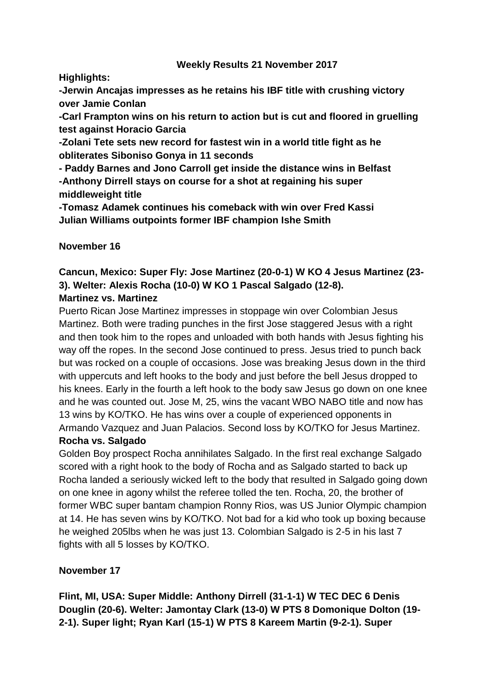## **Weekly Results 21 November 2017**

**Highlights:** 

**-Jerwin Ancajas impresses as he retains his IBF title with crushing victory over Jamie Conlan**

**-Carl Frampton wins on his return to action but is cut and floored in gruelling test against Horacio Garcia**

**-Zolani Tete sets new record for fastest win in a world title fight as he obliterates Siboniso Gonya in 11 seconds**

**- Paddy Barnes and Jono Carroll get inside the distance wins in Belfast -Anthony Dirrell stays on course for a shot at regaining his super middleweight title**

**-Tomasz Adamek continues his comeback with win over Fred Kassi Julian Williams outpoints former IBF champion Ishe Smith**

**November 16**

### **Cancun, Mexico: Super Fly: Jose Martinez (20-0-1) W KO 4 Jesus Martinez (23- 3). Welter: Alexis Rocha (10-0) W KO 1 Pascal Salgado (12-8). Martinez vs. Martinez**

Puerto Rican Jose Martinez impresses in stoppage win over Colombian Jesus Martinez. Both were trading punches in the first Jose staggered Jesus with a right and then took him to the ropes and unloaded with both hands with Jesus fighting his way off the ropes. In the second Jose continued to press. Jesus tried to punch back but was rocked on a couple of occasions. Jose was breaking Jesus down in the third with uppercuts and left hooks to the body and just before the bell Jesus dropped to his knees. Early in the fourth a left hook to the body saw Jesus go down on one knee and he was counted out. Jose M, 25, wins the vacant WBO NABO title and now has 13 wins by KO/TKO. He has wins over a couple of experienced opponents in Armando Vazquez and Juan Palacios. Second loss by KO/TKO for Jesus Martinez.

# **Rocha vs. Salgado**

Golden Boy prospect Rocha annihilates Salgado. In the first real exchange Salgado scored with a right hook to the body of Rocha and as Salgado started to back up Rocha landed a seriously wicked left to the body that resulted in Salgado going down on one knee in agony whilst the referee tolled the ten. Rocha, 20, the brother of former WBC super bantam champion Ronny Rios, was US Junior Olympic champion at 14. He has seven wins by KO/TKO. Not bad for a kid who took up boxing because he weighed 205lbs when he was just 13. Colombian Salgado is 2-5 in his last 7 fights with all 5 losses by KO/TKO.

# **November 17**

**Flint, MI, USA: Super Middle: Anthony Dirrell (31-1-1) W TEC DEC 6 Denis Douglin (20-6). Welter: Jamontay Clark (13-0) W PTS 8 Domonique Dolton (19- 2-1). Super light; Ryan Karl (15-1) W PTS 8 Kareem Martin (9-2-1). Super**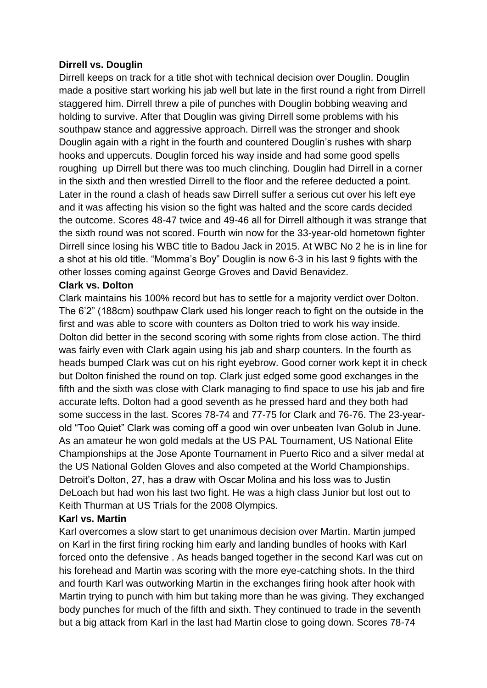### **Dirrell vs. Douglin**

Dirrell keeps on track for a title shot with technical decision over Douglin. Douglin made a positive start working his jab well but late in the first round a right from Dirrell staggered him. Dirrell threw a pile of punches with Douglin bobbing weaving and holding to survive. After that Douglin was giving Dirrell some problems with his southpaw stance and aggressive approach. Dirrell was the stronger and shook Douglin again with a right in the fourth and countered Douglin's rushes with sharp hooks and uppercuts. Douglin forced his way inside and had some good spells roughing up Dirrell but there was too much clinching. Douglin had Dirrell in a corner in the sixth and then wrestled Dirrell to the floor and the referee deducted a point. Later in the round a clash of heads saw Dirrell suffer a serious cut over his left eye and it was affecting his vision so the fight was halted and the score cards decided the outcome. Scores 48-47 twice and 49-46 all for Dirrell although it was strange that the sixth round was not scored. Fourth win now for the 33-year-old hometown fighter Dirrell since losing his WBC title to Badou Jack in 2015. At WBC No 2 he is in line for a shot at his old title. "Momma's Boy" Douglin is now 6-3 in his last 9 fights with the other losses coming against George Groves and David Benavidez.

### **Clark vs. Dolton**

Clark maintains his 100% record but has to settle for a majority verdict over Dolton. The 6'2" (188cm) southpaw Clark used his longer reach to fight on the outside in the first and was able to score with counters as Dolton tried to work his way inside. Dolton did better in the second scoring with some rights from close action. The third was fairly even with Clark again using his jab and sharp counters. In the fourth as heads bumped Clark was cut on his right eyebrow. Good corner work kept it in check but Dolton finished the round on top. Clark just edged some good exchanges in the fifth and the sixth was close with Clark managing to find space to use his jab and fire accurate lefts. Dolton had a good seventh as he pressed hard and they both had some success in the last. Scores 78-74 and 77-75 for Clark and 76-76. The 23-yearold "Too Quiet" Clark was coming off a good win over unbeaten Ivan Golub in June. As an amateur he won gold medals at the US PAL Tournament, US National Elite Championships at the Jose Aponte Tournament in Puerto Rico and a silver medal at the US National Golden Gloves and also competed at the World Championships. Detroit's Dolton, 27, has a draw with Oscar Molina and his loss was to Justin DeLoach but had won his last two fight. He was a high class Junior but lost out to Keith Thurman at US Trials for the 2008 Olympics.

## **Karl vs. Martin**

Karl overcomes a slow start to get unanimous decision over Martin. Martin jumped on Karl in the first firing rocking him early and landing bundles of hooks with Karl forced onto the defensive . As heads banged together in the second Karl was cut on his forehead and Martin was scoring with the more eye-catching shots. In the third and fourth Karl was outworking Martin in the exchanges firing hook after hook with Martin trying to punch with him but taking more than he was giving. They exchanged body punches for much of the fifth and sixth. They continued to trade in the seventh but a big attack from Karl in the last had Martin close to going down. Scores 78-74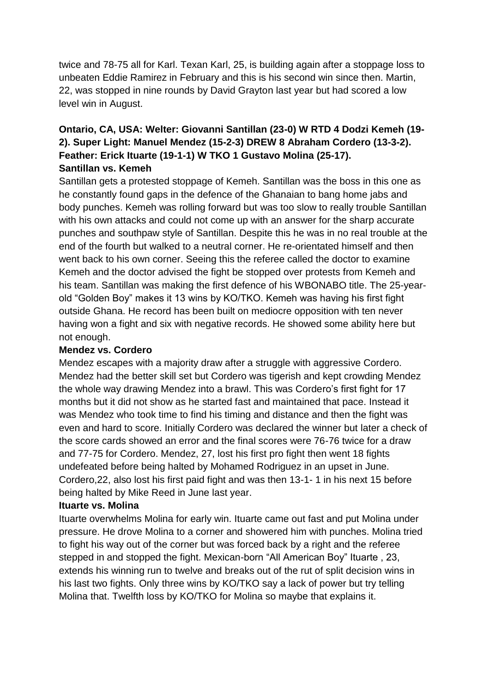twice and 78-75 all for Karl. Texan Karl, 25, is building again after a stoppage loss to unbeaten Eddie Ramirez in February and this is his second win since then. Martin, 22, was stopped in nine rounds by David Grayton last year but had scored a low level win in August.

# **Ontario, CA, USA: Welter: Giovanni Santillan (23-0) W RTD 4 Dodzi Kemeh (19- 2). Super Light: Manuel Mendez (15-2-3) DREW 8 Abraham Cordero (13-3-2). Feather: Erick Ituarte (19-1-1) W TKO 1 Gustavo Molina (25-17). Santillan vs. Kemeh**

Santillan gets a protested stoppage of Kemeh. Santillan was the boss in this one as he constantly found gaps in the defence of the Ghanaian to bang home jabs and body punches. Kemeh was rolling forward but was too slow to really trouble Santillan with his own attacks and could not come up with an answer for the sharp accurate punches and southpaw style of Santillan. Despite this he was in no real trouble at the end of the fourth but walked to a neutral corner. He re-orientated himself and then went back to his own corner. Seeing this the referee called the doctor to examine Kemeh and the doctor advised the fight be stopped over protests from Kemeh and his team. Santillan was making the first defence of his WBONABO title. The 25-yearold "Golden Boy" makes it 13 wins by KO/TKO. Kemeh was having his first fight outside Ghana. He record has been built on mediocre opposition with ten never having won a fight and six with negative records. He showed some ability here but not enough.

## **Mendez vs. Cordero**

Mendez escapes with a majority draw after a struggle with aggressive Cordero. Mendez had the better skill set but Cordero was tigerish and kept crowding Mendez the whole way drawing Mendez into a brawl. This was Cordero's first fight for 17 months but it did not show as he started fast and maintained that pace. Instead it was Mendez who took time to find his timing and distance and then the fight was even and hard to score. Initially Cordero was declared the winner but later a check of the score cards showed an error and the final scores were 76-76 twice for a draw and 77-75 for Cordero. Mendez, 27, lost his first pro fight then went 18 fights undefeated before being halted by Mohamed Rodriguez in an upset in June. Cordero,22, also lost his first paid fight and was then 13-1- 1 in his next 15 before being halted by Mike Reed in June last year.

# **Ituarte vs. Molina**

Ituarte overwhelms Molina for early win. Ituarte came out fast and put Molina under pressure. He drove Molina to a corner and showered him with punches. Molina tried to fight his way out of the corner but was forced back by a right and the referee stepped in and stopped the fight. Mexican-born "All American Boy" Ituarte , 23, extends his winning run to twelve and breaks out of the rut of split decision wins in his last two fights. Only three wins by KO/TKO say a lack of power but try telling Molina that. Twelfth loss by KO/TKO for Molina so maybe that explains it.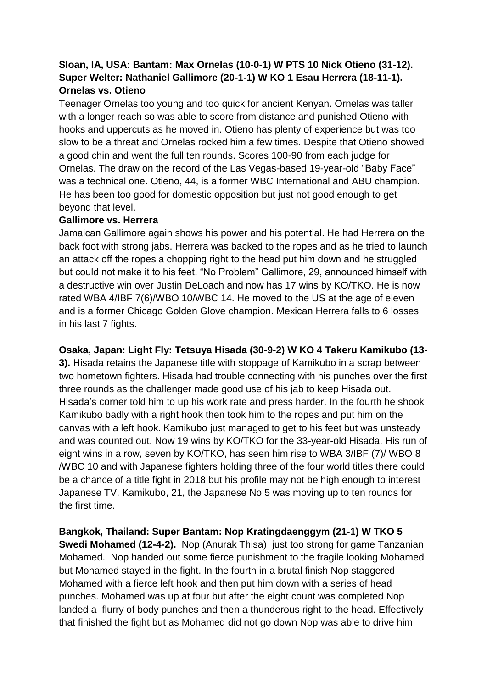# **Sloan, IA, USA: Bantam: Max Ornelas (10-0-1) W PTS 10 Nick Otieno (31-12). Super Welter: Nathaniel Gallimore (20-1-1) W KO 1 Esau Herrera (18-11-1). Ornelas vs. Otieno**

Teenager Ornelas too young and too quick for ancient Kenyan. Ornelas was taller with a longer reach so was able to score from distance and punished Otieno with hooks and uppercuts as he moved in. Otieno has plenty of experience but was too slow to be a threat and Ornelas rocked him a few times. Despite that Otieno showed a good chin and went the full ten rounds. Scores 100-90 from each judge for Ornelas. The draw on the record of the Las Vegas-based 19-year-old "Baby Face" was a technical one. Otieno, 44, is a former WBC International and ABU champion. He has been too good for domestic opposition but just not good enough to get beyond that level.

# **Gallimore vs. Herrera**

Jamaican Gallimore again shows his power and his potential. He had Herrera on the back foot with strong jabs. Herrera was backed to the ropes and as he tried to launch an attack off the ropes a chopping right to the head put him down and he struggled but could not make it to his feet. "No Problem" Gallimore, 29, announced himself with a destructive win over Justin DeLoach and now has 17 wins by KO/TKO. He is now rated WBA 4/IBF 7(6)/WBO 10/WBC 14. He moved to the US at the age of eleven and is a former Chicago Golden Glove champion. Mexican Herrera falls to 6 losses in his last 7 fights.

**Osaka, Japan: Light Fly: Tetsuya Hisada (30-9-2) W KO 4 Takeru Kamikubo (13-**

**3).** Hisada retains the Japanese title with stoppage of Kamikubo in a scrap between two hometown fighters. Hisada had trouble connecting with his punches over the first three rounds as the challenger made good use of his jab to keep Hisada out. Hisada's corner told him to up his work rate and press harder. In the fourth he shook Kamikubo badly with a right hook then took him to the ropes and put him on the canvas with a left hook. Kamikubo just managed to get to his feet but was unsteady and was counted out. Now 19 wins by KO/TKO for the 33-year-old Hisada. His run of eight wins in a row, seven by KO/TKO, has seen him rise to WBA 3/IBF (7)/ WBO 8 /WBC 10 and with Japanese fighters holding three of the four world titles there could be a chance of a title fight in 2018 but his profile may not be high enough to interest Japanese TV. Kamikubo, 21, the Japanese No 5 was moving up to ten rounds for the first time.

**Bangkok, Thailand: Super Bantam: Nop Kratingdaenggym (21-1) W TKO 5 Swedi Mohamed (12-4-2).** Nop (Anurak Thisa) just too strong for game Tanzanian Mohamed. Nop handed out some fierce punishment to the fragile looking Mohamed but Mohamed stayed in the fight. In the fourth in a brutal finish Nop staggered Mohamed with a fierce left hook and then put him down with a series of head punches. Mohamed was up at four but after the eight count was completed Nop landed a flurry of body punches and then a thunderous right to the head. Effectively that finished the fight but as Mohamed did not go down Nop was able to drive him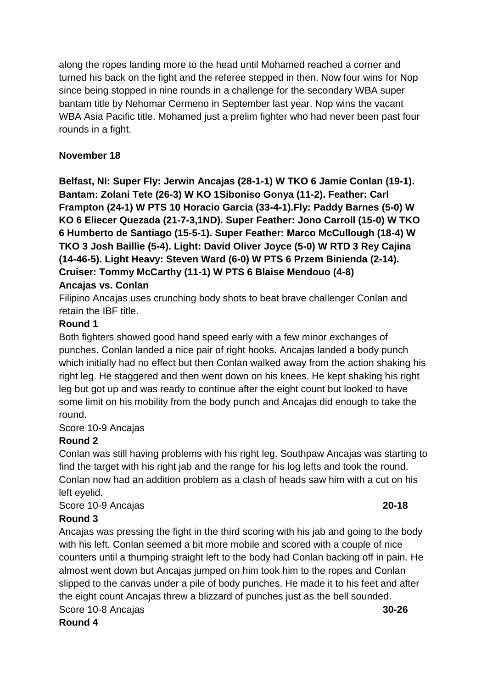along the ropes landing more to the head until Mohamed reached a corner and turned his back on the fight and the referee stepped in then. Now four wins for Nop since being stopped in nine rounds in a challenge for the secondary WBA super bantam title by Nehomar Cermeno in September last year. Nop wins the vacant WBA Asia Pacific title. Mohamed just a prelim fighter who had never been past four rounds in a fight.

# **November 18**

**Belfast, NI: Super Fly: Jerwin Ancajas (28-1-1) W TKO 6 Jamie Conlan (19-1). Bantam: Zolani Tete (26-3) W KO 1Siboniso Gonya (11-2). Feather: Carl Frampton (24-1) W PTS 10 Horacio Garcia (33-4-1).Fly: Paddy Barnes (5-0) W KO 6 Eliecer Quezada (21-7-3,1ND). Super Feather: Jono Carroll (15-0) W TKO 6 Humberto de Santiago (15-5-1). Super Feather: Marco McCullough (18-4) W TKO 3 Josh Baillie (5-4). Light: David Oliver Joyce (5-0) W RTD 3 Rey Cajina (14-46-5). Light Heavy: Steven Ward (6-0) W PTS 6 Przem Binienda (2-14). Cruiser: Tommy McCarthy (11-1) W PTS 6 Blaise Mendouo (4-8) Ancajas vs. Conlan**

Filipino Ancajas uses crunching body shots to beat brave challenger Conlan and retain the IBF title.

# **Round 1**

Both fighters showed good hand speed early with a few minor exchanges of punches. Conlan landed a nice pair of right hooks. Ancajas landed a body punch which initially had no effect but then Conlan walked away from the action shaking his right leg. He staggered and then went down on his knees. He kept shaking his right leg but got up and was ready to continue after the eight count but looked to have some limit on his mobility from the body punch and Ancajas did enough to take the round.

# Score 10-9 Ancajas

# **Round 2**

Conlan was still having problems with his right leg. Southpaw Ancajas was starting to find the target with his right jab and the range for his log lefts and took the round. Conlan now had an addition problem as a clash of heads saw him with a cut on his left eyelid.

Score 10-9 Ancajas **20-18**

# **Round 3**

Ancajas was pressing the fight in the third scoring with his jab and going to the body with his left. Conlan seemed a bit more mobile and scored with a couple of nice counters until a thumping straight left to the body had Conlan backing off in pain. He almost went down but Ancajas jumped on him took him to the ropes and Conlan slipped to the canvas under a pile of body punches. He made it to his feet and after the eight count Ancajas threw a blizzard of punches just as the bell sounded. Score 10-8 Ancajas **30-26**

**Round 4**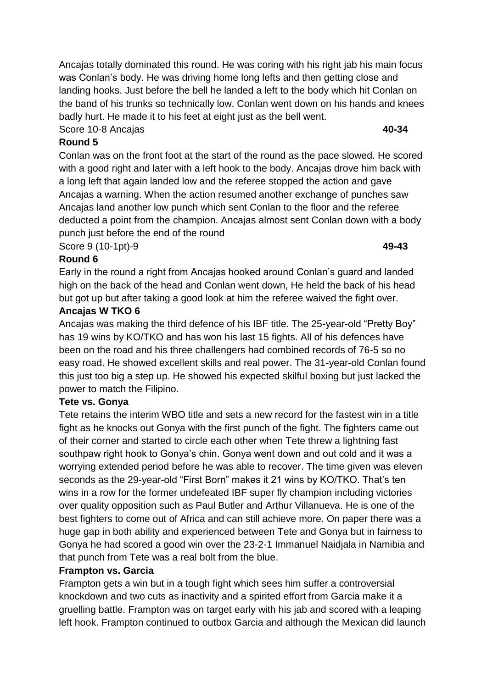Ancajas totally dominated this round. He was coring with his right jab his main focus was Conlan's body. He was driving home long lefts and then getting close and landing hooks. Just before the bell he landed a left to the body which hit Conlan on the band of his trunks so technically low. Conlan went down on his hands and knees badly hurt. He made it to his feet at eight just as the bell went.

Score 10-8 Ancajas **40-34**

# **Round 5**

Conlan was on the front foot at the start of the round as the pace slowed. He scored with a good right and later with a left hook to the body. Ancajas drove him back with a long left that again landed low and the referee stopped the action and gave Ancajas a warning. When the action resumed another exchange of punches saw Ancajas land another low punch which sent Conlan to the floor and the referee deducted a point from the champion. Ancajas almost sent Conlan down with a body punch just before the end of the round

Score 9 (10-1pt)-9 **49-43**

# **Round 6**

Early in the round a right from Ancajas hooked around Conlan's guard and landed high on the back of the head and Conlan went down, He held the back of his head but got up but after taking a good look at him the referee waived the fight over.

# **Ancajas W TKO 6**

Ancajas was making the third defence of his IBF title. The 25-year-old "Pretty Boy" has 19 wins by KO/TKO and has won his last 15 fights. All of his defences have been on the road and his three challengers had combined records of 76-5 so no easy road. He showed excellent skills and real power. The 31-year-old Conlan found this just too big a step up. He showed his expected skilful boxing but just lacked the power to match the Filipino.

# **Tete vs. Gonya**

Tete retains the interim WBO title and sets a new record for the fastest win in a title fight as he knocks out Gonya with the first punch of the fight. The fighters came out of their corner and started to circle each other when Tete threw a lightning fast southpaw right hook to Gonya's chin. Gonya went down and out cold and it was a worrying extended period before he was able to recover. The time given was eleven seconds as the 29-year-old "First Born" makes it 21 wins by KO/TKO. That's ten wins in a row for the former undefeated IBF super fly champion including victories over quality opposition such as Paul Butler and Arthur Villanueva. He is one of the best fighters to come out of Africa and can still achieve more. On paper there was a huge gap in both ability and experienced between Tete and Gonya but in fairness to Gonya he had scored a good win over the 23-2-1 Immanuel Naidjala in Namibia and that punch from Tete was a real bolt from the blue.

# **Frampton vs. Garcia**

Frampton gets a win but in a tough fight which sees him suffer a controversial knockdown and two cuts as inactivity and a spirited effort from Garcia make it a gruelling battle. Frampton was on target early with his jab and scored with a leaping left hook. Frampton continued to outbox Garcia and although the Mexican did launch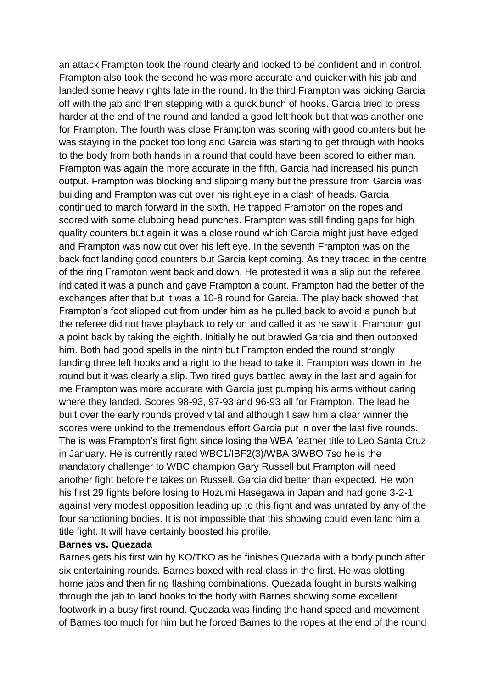an attack Frampton took the round clearly and looked to be confident and in control. Frampton also took the second he was more accurate and quicker with his jab and landed some heavy rights late in the round. In the third Frampton was picking Garcia off with the jab and then stepping with a quick bunch of hooks. Garcia tried to press harder at the end of the round and landed a good left hook but that was another one for Frampton. The fourth was close Frampton was scoring with good counters but he was staying in the pocket too long and Garcia was starting to get through with hooks to the body from both hands in a round that could have been scored to either man. Frampton was again the more accurate in the fifth, Garcia had increased his punch output. Frampton was blocking and slipping many but the pressure from Garcia was building and Frampton was cut over his right eye in a clash of heads. Garcia continued to march forward in the sixth. He trapped Frampton on the ropes and scored with some clubbing head punches. Frampton was still finding gaps for high quality counters but again it was a close round which Garcia might just have edged and Frampton was now cut over his left eye. In the seventh Frampton was on the back foot landing good counters but Garcia kept coming. As they traded in the centre of the ring Frampton went back and down. He protested it was a slip but the referee indicated it was a punch and gave Frampton a count. Frampton had the better of the exchanges after that but it was a 10-8 round for Garcia. The play back showed that Frampton's foot slipped out from under him as he pulled back to avoid a punch but the referee did not have playback to rely on and called it as he saw it. Frampton got a point back by taking the eighth. Initially he out brawled Garcia and then outboxed him. Both had good spells in the ninth but Frampton ended the round strongly landing three left hooks and a right to the head to take it. Frampton was down in the round but it was clearly a slip. Two tired guys battled away in the last and again for me Frampton was more accurate with Garcia just pumping his arms without caring where they landed. Scores 98-93, 97-93 and 96-93 all for Frampton. The lead he built over the early rounds proved vital and although I saw him a clear winner the scores were unkind to the tremendous effort Garcia put in over the last five rounds. The is was Frampton's first fight since losing the WBA feather title to Leo Santa Cruz in January. He is currently rated WBC1/IBF2(3)/WBA 3/WBO 7so he is the mandatory challenger to WBC champion Gary Russell but Frampton will need another fight before he takes on Russell. Garcia did better than expected. He won his first 29 fights before losing to Hozumi Hasegawa in Japan and had gone 3-2-1 against very modest opposition leading up to this fight and was unrated by any of the four sanctioning bodies. It is not impossible that this showing could even land him a title fight. It will have certainly boosted his profile.

#### **Barnes vs. Quezada**

Barnes gets his first win by KO/TKO as he finishes Quezada with a body punch after six entertaining rounds. Barnes boxed with real class in the first. He was slotting home jabs and then firing flashing combinations. Quezada fought in bursts walking through the jab to land hooks to the body with Barnes showing some excellent footwork in a busy first round. Quezada was finding the hand speed and movement of Barnes too much for him but he forced Barnes to the ropes at the end of the round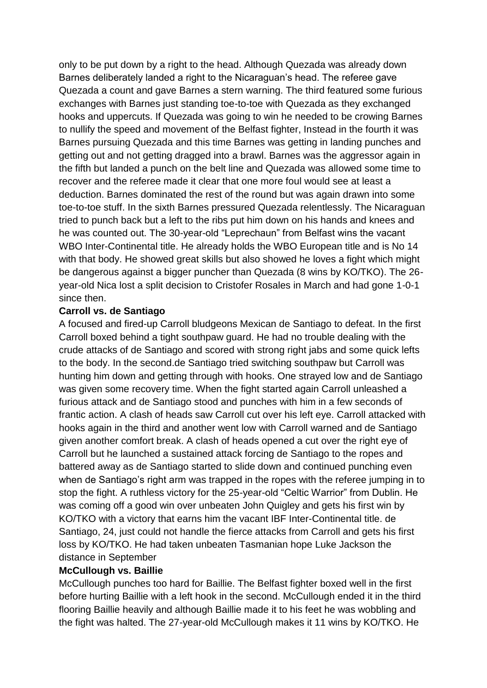only to be put down by a right to the head. Although Quezada was already down Barnes deliberately landed a right to the Nicaraguan's head. The referee gave Quezada a count and gave Barnes a stern warning. The third featured some furious exchanges with Barnes just standing toe-to-toe with Quezada as they exchanged hooks and uppercuts. If Quezada was going to win he needed to be crowing Barnes to nullify the speed and movement of the Belfast fighter, Instead in the fourth it was Barnes pursuing Quezada and this time Barnes was getting in landing punches and getting out and not getting dragged into a brawl. Barnes was the aggressor again in the fifth but landed a punch on the belt line and Quezada was allowed some time to recover and the referee made it clear that one more foul would see at least a deduction. Barnes dominated the rest of the round but was again drawn into some toe-to-toe stuff. In the sixth Barnes pressured Quezada relentlessly. The Nicaraguan tried to punch back but a left to the ribs put him down on his hands and knees and he was counted out. The 30-year-old "Leprechaun" from Belfast wins the vacant WBO Inter-Continental title. He already holds the WBO European title and is No 14 with that body. He showed great skills but also showed he loves a fight which might be dangerous against a bigger puncher than Quezada (8 wins by KO/TKO). The 26 year-old Nica lost a split decision to Cristofer Rosales in March and had gone 1-0-1 since then.

#### **Carroll vs. de Santiago**

A focused and fired-up Carroll bludgeons Mexican de Santiago to defeat. In the first Carroll boxed behind a tight southpaw guard. He had no trouble dealing with the crude attacks of de Santiago and scored with strong right jabs and some quick lefts to the body. In the second.de Santiago tried switching southpaw but Carroll was hunting him down and getting through with hooks. One strayed low and de Santiago was given some recovery time. When the fight started again Carroll unleashed a furious attack and de Santiago stood and punches with him in a few seconds of frantic action. A clash of heads saw Carroll cut over his left eye. Carroll attacked with hooks again in the third and another went low with Carroll warned and de Santiago given another comfort break. A clash of heads opened a cut over the right eye of Carroll but he launched a sustained attack forcing de Santiago to the ropes and battered away as de Santiago started to slide down and continued punching even when de Santiago's right arm was trapped in the ropes with the referee jumping in to stop the fight. A ruthless victory for the 25-year-old "Celtic Warrior" from Dublin. He was coming off a good win over unbeaten John Quigley and gets his first win by KO/TKO with a victory that earns him the vacant IBF Inter-Continental title. de Santiago, 24, just could not handle the fierce attacks from Carroll and gets his first loss by KO/TKO. He had taken unbeaten Tasmanian hope Luke Jackson the distance in September

## **McCullough vs. Baillie**

McCullough punches too hard for Baillie. The Belfast fighter boxed well in the first before hurting Baillie with a left hook in the second. McCullough ended it in the third flooring Baillie heavily and although Baillie made it to his feet he was wobbling and the fight was halted. The 27-year-old McCullough makes it 11 wins by KO/TKO. He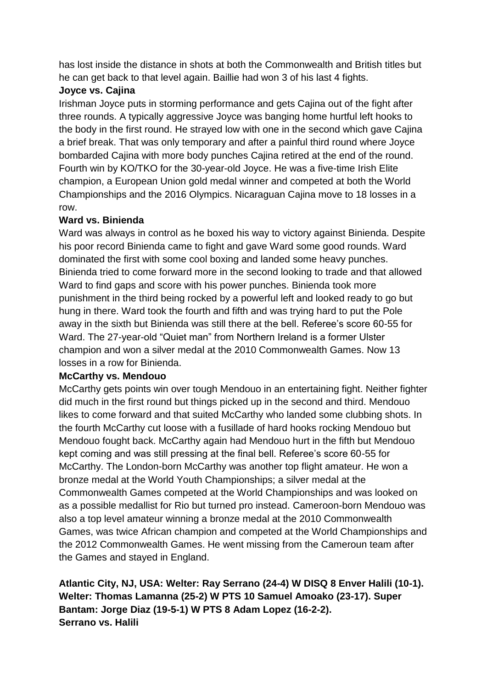has lost inside the distance in shots at both the Commonwealth and British titles but he can get back to that level again. Baillie had won 3 of his last 4 fights.

# **Joyce vs. Cajina**

Irishman Joyce puts in storming performance and gets Cajina out of the fight after three rounds. A typically aggressive Joyce was banging home hurtful left hooks to the body in the first round. He strayed low with one in the second which gave Cajina a brief break. That was only temporary and after a painful third round where Joyce bombarded Cajina with more body punches Cajina retired at the end of the round. Fourth win by KO/TKO for the 30-year-old Joyce. He was a five-time Irish Elite champion, a European Union gold medal winner and competed at both the World Championships and the 2016 Olympics. Nicaraguan Cajina move to 18 losses in a row.

# **Ward vs. Binienda**

Ward was always in control as he boxed his way to victory against Binienda. Despite his poor record Binienda came to fight and gave Ward some good rounds. Ward dominated the first with some cool boxing and landed some heavy punches. Binienda tried to come forward more in the second looking to trade and that allowed Ward to find gaps and score with his power punches. Binienda took more punishment in the third being rocked by a powerful left and looked ready to go but hung in there. Ward took the fourth and fifth and was trying hard to put the Pole away in the sixth but Binienda was still there at the bell. Referee's score 60-55 for Ward. The 27-year-old "Quiet man" from Northern Ireland is a former Ulster champion and won a silver medal at the 2010 Commonwealth Games. Now 13 losses in a row for Binienda.

# **McCarthy vs. Mendouo**

McCarthy gets points win over tough Mendouo in an entertaining fight. Neither fighter did much in the first round but things picked up in the second and third. Mendouo likes to come forward and that suited McCarthy who landed some clubbing shots. In the fourth McCarthy cut loose with a fusillade of hard hooks rocking Mendouo but Mendouo fought back. McCarthy again had Mendouo hurt in the fifth but Mendouo kept coming and was still pressing at the final bell. Referee's score 60-55 for McCarthy. The London-born McCarthy was another top flight amateur. He won a bronze medal at the World Youth Championships; a silver medal at the Commonwealth Games competed at the World Championships and was looked on as a possible medallist for Rio but turned pro instead. Cameroon-born Mendouo was also a top level amateur winning a bronze medal at the 2010 Commonwealth Games, was twice African champion and competed at the World Championships and the 2012 Commonwealth Games. He went missing from the Cameroun team after the Games and stayed in England.

**Atlantic City, NJ, USA: Welter: Ray Serrano (24-4) W DISQ 8 Enver Halili (10-1). Welter: Thomas Lamanna (25-2) W PTS 10 Samuel Amoako (23-17). Super Bantam: Jorge Diaz (19-5-1) W PTS 8 Adam Lopez (16-2-2). Serrano vs. Halili**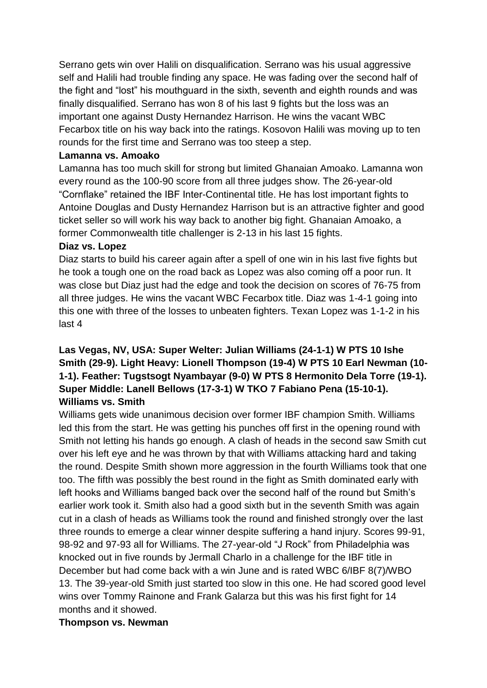Serrano gets win over Halili on disqualification. Serrano was his usual aggressive self and Halili had trouble finding any space. He was fading over the second half of the fight and "lost" his mouthguard in the sixth, seventh and eighth rounds and was finally disqualified. Serrano has won 8 of his last 9 fights but the loss was an important one against Dusty Hernandez Harrison. He wins the vacant WBC Fecarbox title on his way back into the ratings. Kosovon Halili was moving up to ten rounds for the first time and Serrano was too steep a step.

### **Lamanna vs. Amoako**

Lamanna has too much skill for strong but limited Ghanaian Amoako. Lamanna won every round as the 100-90 score from all three judges show. The 26-year-old "Cornflake" retained the IBF Inter-Continental title. He has lost important fights to Antoine Douglas and Dusty Hernandez Harrison but is an attractive fighter and good ticket seller so will work his way back to another big fight. Ghanaian Amoako, a former Commonwealth title challenger is 2-13 in his last 15 fights.

### **Diaz vs. Lopez**

Diaz starts to build his career again after a spell of one win in his last five fights but he took a tough one on the road back as Lopez was also coming off a poor run. It was close but Diaz just had the edge and took the decision on scores of 76-75 from all three judges. He wins the vacant WBC Fecarbox title. Diaz was 1-4-1 going into this one with three of the losses to unbeaten fighters. Texan Lopez was 1-1-2 in his last 4

# **Las Vegas, NV, USA: Super Welter: Julian Williams (24-1-1) W PTS 10 Ishe Smith (29-9). Light Heavy: Lionell Thompson (19-4) W PTS 10 Earl Newman (10- 1-1). Feather: Tugstsogt Nyambayar (9-0) W PTS 8 Hermonito Dela Torre (19-1). Super Middle: Lanell Bellows (17-3-1) W TKO 7 Fabiano Pena (15-10-1). Williams vs. Smith**

Williams gets wide unanimous decision over former IBF champion Smith. Williams led this from the start. He was getting his punches off first in the opening round with Smith not letting his hands go enough. A clash of heads in the second saw Smith cut over his left eye and he was thrown by that with Williams attacking hard and taking the round. Despite Smith shown more aggression in the fourth Williams took that one too. The fifth was possibly the best round in the fight as Smith dominated early with left hooks and Williams banged back over the second half of the round but Smith's earlier work took it. Smith also had a good sixth but in the seventh Smith was again cut in a clash of heads as Williams took the round and finished strongly over the last three rounds to emerge a clear winner despite suffering a hand injury. Scores 99-91, 98-92 and 97-93 all for Williams. The 27-year-old "J Rock" from Philadelphia was knocked out in five rounds by Jermall Charlo in a challenge for the IBF title in December but had come back with a win June and is rated WBC 6/IBF 8(7)/WBO 13. The 39-year-old Smith just started too slow in this one. He had scored good level wins over Tommy Rainone and Frank Galarza but this was his first fight for 14 months and it showed.

# **Thompson vs. Newman**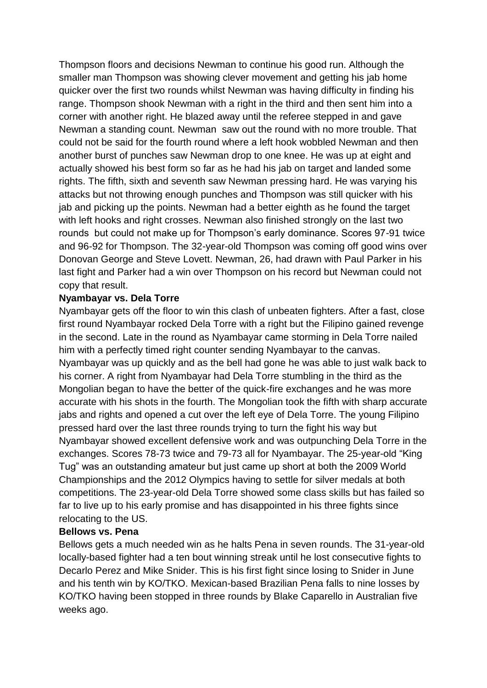Thompson floors and decisions Newman to continue his good run. Although the smaller man Thompson was showing clever movement and getting his jab home quicker over the first two rounds whilst Newman was having difficulty in finding his range. Thompson shook Newman with a right in the third and then sent him into a corner with another right. He blazed away until the referee stepped in and gave Newman a standing count. Newman saw out the round with no more trouble. That could not be said for the fourth round where a left hook wobbled Newman and then another burst of punches saw Newman drop to one knee. He was up at eight and actually showed his best form so far as he had his jab on target and landed some rights. The fifth, sixth and seventh saw Newman pressing hard. He was varying his attacks but not throwing enough punches and Thompson was still quicker with his jab and picking up the points. Newman had a better eighth as he found the target with left hooks and right crosses. Newman also finished strongly on the last two rounds but could not make up for Thompson's early dominance. Scores 97-91 twice and 96-92 for Thompson. The 32-year-old Thompson was coming off good wins over Donovan George and Steve Lovett. Newman, 26, had drawn with Paul Parker in his last fight and Parker had a win over Thompson on his record but Newman could not copy that result.

#### **Nyambayar vs. Dela Torre**

Nyambayar gets off the floor to win this clash of unbeaten fighters. After a fast, close first round Nyambayar rocked Dela Torre with a right but the Filipino gained revenge in the second. Late in the round as Nyambayar came storming in Dela Torre nailed him with a perfectly timed right counter sending Nyambayar to the canvas. Nyambayar was up quickly and as the bell had gone he was able to just walk back to his corner. A right from Nyambayar had Dela Torre stumbling in the third as the Mongolian began to have the better of the quick-fire exchanges and he was more accurate with his shots in the fourth. The Mongolian took the fifth with sharp accurate jabs and rights and opened a cut over the left eye of Dela Torre. The young Filipino pressed hard over the last three rounds trying to turn the fight his way but Nyambayar showed excellent defensive work and was outpunching Dela Torre in the exchanges. Scores 78-73 twice and 79-73 all for Nyambayar. The 25-year-old "King Tug" was an outstanding amateur but just came up short at both the 2009 World Championships and the 2012 Olympics having to settle for silver medals at both competitions. The 23-year-old Dela Torre showed some class skills but has failed so far to live up to his early promise and has disappointed in his three fights since relocating to the US.

#### **Bellows vs. Pena**

Bellows gets a much needed win as he halts Pena in seven rounds. The 31-year-old locally-based fighter had a ten bout winning streak until he lost consecutive fights to Decarlo Perez and Mike Snider. This is his first fight since losing to Snider in June and his tenth win by KO/TKO. Mexican-based Brazilian Pena falls to nine losses by KO/TKO having been stopped in three rounds by Blake Caparello in Australian five weeks ago.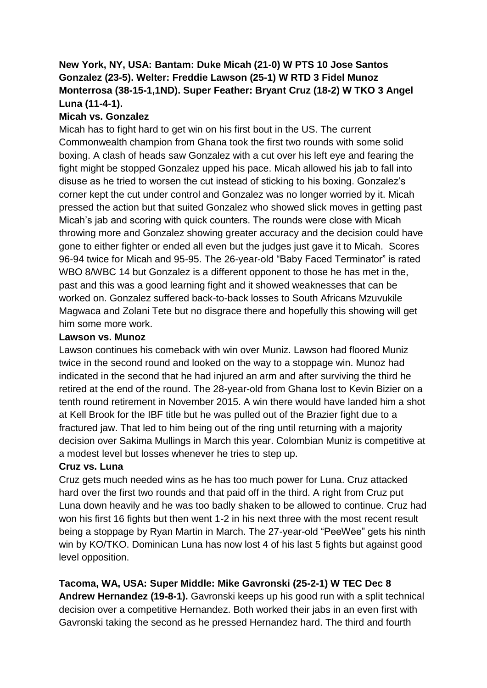# **New York, NY, USA: Bantam: Duke Micah (21-0) W PTS 10 Jose Santos Gonzalez (23-5). Welter: Freddie Lawson (25-1) W RTD 3 Fidel Munoz Monterrosa (38-15-1,1ND). Super Feather: Bryant Cruz (18-2) W TKO 3 Angel Luna (11-4-1).**

# **Micah vs. Gonzalez**

Micah has to fight hard to get win on his first bout in the US. The current Commonwealth champion from Ghana took the first two rounds with some solid boxing. A clash of heads saw Gonzalez with a cut over his left eye and fearing the fight might be stopped Gonzalez upped his pace. Micah allowed his jab to fall into disuse as he tried to worsen the cut instead of sticking to his boxing. Gonzalez's corner kept the cut under control and Gonzalez was no longer worried by it. Micah pressed the action but that suited Gonzalez who showed slick moves in getting past Micah's jab and scoring with quick counters. The rounds were close with Micah throwing more and Gonzalez showing greater accuracy and the decision could have gone to either fighter or ended all even but the judges just gave it to Micah. Scores 96-94 twice for Micah and 95-95. The 26-year-old "Baby Faced Terminator" is rated WBO 8/WBC 14 but Gonzalez is a different opponent to those he has met in the, past and this was a good learning fight and it showed weaknesses that can be worked on. Gonzalez suffered back-to-back losses to South Africans Mzuvukile Magwaca and Zolani Tete but no disgrace there and hopefully this showing will get him some more work.

# **Lawson vs. Munoz**

Lawson continues his comeback with win over Muniz. Lawson had floored Muniz twice in the second round and looked on the way to a stoppage win. Munoz had indicated in the second that he had injured an arm and after surviving the third he retired at the end of the round. The 28-year-old from Ghana lost to Kevin Bizier on a tenth round retirement in November 2015. A win there would have landed him a shot at Kell Brook for the IBF title but he was pulled out of the Brazier fight due to a fractured jaw. That led to him being out of the ring until returning with a majority decision over Sakima Mullings in March this year. Colombian Muniz is competitive at a modest level but losses whenever he tries to step up.

# **Cruz vs. Luna**

Cruz gets much needed wins as he has too much power for Luna. Cruz attacked hard over the first two rounds and that paid off in the third. A right from Cruz put Luna down heavily and he was too badly shaken to be allowed to continue. Cruz had won his first 16 fights but then went 1-2 in his next three with the most recent result being a stoppage by Ryan Martin in March. The 27-year-old "PeeWee" gets his ninth win by KO/TKO. Dominican Luna has now lost 4 of his last 5 fights but against good level opposition.

**Tacoma, WA, USA: Super Middle: Mike Gavronski (25-2-1) W TEC Dec 8 Andrew Hernandez (19-8-1).** Gavronski keeps up his good run with a split technical decision over a competitive Hernandez. Both worked their jabs in an even first with

Gavronski taking the second as he pressed Hernandez hard. The third and fourth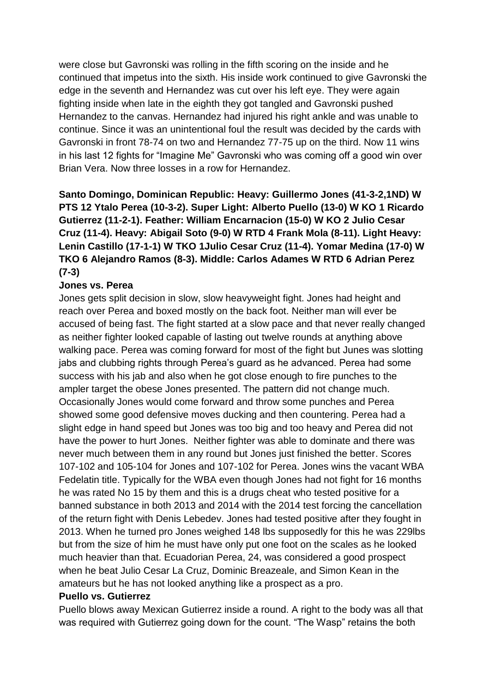were close but Gavronski was rolling in the fifth scoring on the inside and he continued that impetus into the sixth. His inside work continued to give Gavronski the edge in the seventh and Hernandez was cut over his left eye. They were again fighting inside when late in the eighth they got tangled and Gavronski pushed Hernandez to the canvas. Hernandez had injured his right ankle and was unable to continue. Since it was an unintentional foul the result was decided by the cards with Gavronski in front 78-74 on two and Hernandez 77-75 up on the third. Now 11 wins in his last 12 fights for "Imagine Me" Gavronski who was coming off a good win over Brian Vera. Now three losses in a row for Hernandez.

**Santo Domingo, Dominican Republic: Heavy: Guillermo Jones (41-3-2,1ND) W PTS 12 Ytalo Perea (10-3-2). Super Light: Alberto Puello (13-0) W KO 1 Ricardo Gutierrez (11-2-1). Feather: William Encarnacion (15-0) W KO 2 Julio Cesar Cruz (11-4). Heavy: Abigail Soto (9-0) W RTD 4 Frank Mola (8-11). Light Heavy: Lenin Castillo (17-1-1) W TKO 1Julio Cesar Cruz (11-4). Yomar Medina (17-0) W TKO 6 Alejandro Ramos (8-3). Middle: Carlos Adames W RTD 6 Adrian Perez (7-3)**

### **Jones vs. Perea**

Jones gets split decision in slow, slow heavyweight fight. Jones had height and reach over Perea and boxed mostly on the back foot. Neither man will ever be accused of being fast. The fight started at a slow pace and that never really changed as neither fighter looked capable of lasting out twelve rounds at anything above walking pace. Perea was coming forward for most of the fight but Junes was slotting jabs and clubbing rights through Perea's guard as he advanced. Perea had some success with his jab and also when he got close enough to fire punches to the ampler target the obese Jones presented. The pattern did not change much. Occasionally Jones would come forward and throw some punches and Perea showed some good defensive moves ducking and then countering. Perea had a slight edge in hand speed but Jones was too big and too heavy and Perea did not have the power to hurt Jones. Neither fighter was able to dominate and there was never much between them in any round but Jones just finished the better. Scores 107-102 and 105-104 for Jones and 107-102 for Perea. Jones wins the vacant WBA Fedelatin title. Typically for the WBA even though Jones had not fight for 16 months he was rated No 15 by them and this is a drugs cheat who tested positive for a banned substance in both 2013 and 2014 with the 2014 test forcing the cancellation of the return fight with Denis Lebedev. Jones had tested positive after they fought in 2013. When he turned pro Jones weighed 148 lbs supposedly for this he was 229lbs but from the size of him he must have only put one foot on the scales as he looked much heavier than that. Ecuadorian Perea, 24, was considered a good prospect when he beat Julio Cesar La Cruz, Dominic Breazeale, and Simon Kean in the amateurs but he has not looked anything like a prospect as a pro.

#### **Puello vs. Gutierrez**

Puello blows away Mexican Gutierrez inside a round. A right to the body was all that was required with Gutierrez going down for the count. "The Wasp" retains the both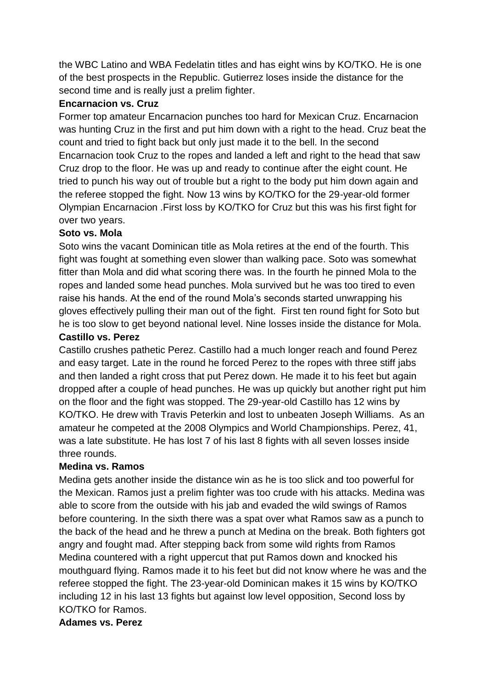the WBC Latino and WBA Fedelatin titles and has eight wins by KO/TKO. He is one of the best prospects in the Republic. Gutierrez loses inside the distance for the second time and is really just a prelim fighter.

## **Encarnacion vs. Cruz**

Former top amateur Encarnacion punches too hard for Mexican Cruz. Encarnacion was hunting Cruz in the first and put him down with a right to the head. Cruz beat the count and tried to fight back but only just made it to the bell. In the second Encarnacion took Cruz to the ropes and landed a left and right to the head that saw Cruz drop to the floor. He was up and ready to continue after the eight count. He tried to punch his way out of trouble but a right to the body put him down again and the referee stopped the fight. Now 13 wins by KO/TKO for the 29-year-old former Olympian Encarnacion .First loss by KO/TKO for Cruz but this was his first fight for over two years.

# **Soto vs. Mola**

Soto wins the vacant Dominican title as Mola retires at the end of the fourth. This fight was fought at something even slower than walking pace. Soto was somewhat fitter than Mola and did what scoring there was. In the fourth he pinned Mola to the ropes and landed some head punches. Mola survived but he was too tired to even raise his hands. At the end of the round Mola's seconds started unwrapping his gloves effectively pulling their man out of the fight. First ten round fight for Soto but he is too slow to get beyond national level. Nine losses inside the distance for Mola.

# **Castillo vs. Perez**

Castillo crushes pathetic Perez. Castillo had a much longer reach and found Perez and easy target. Late in the round he forced Perez to the ropes with three stiff jabs and then landed a right cross that put Perez down. He made it to his feet but again dropped after a couple of head punches. He was up quickly but another right put him on the floor and the fight was stopped. The 29-year-old Castillo has 12 wins by KO/TKO. He drew with Travis Peterkin and lost to unbeaten Joseph Williams. As an amateur he competed at the 2008 Olympics and World Championships. Perez, 41, was a late substitute. He has lost 7 of his last 8 fights with all seven losses inside three rounds.

# **Medina vs. Ramos**

Medina gets another inside the distance win as he is too slick and too powerful for the Mexican. Ramos just a prelim fighter was too crude with his attacks. Medina was able to score from the outside with his jab and evaded the wild swings of Ramos before countering. In the sixth there was a spat over what Ramos saw as a punch to the back of the head and he threw a punch at Medina on the break. Both fighters got angry and fought mad. After stepping back from some wild rights from Ramos Medina countered with a right uppercut that put Ramos down and knocked his mouthguard flying. Ramos made it to his feet but did not know where he was and the referee stopped the fight. The 23-year-old Dominican makes it 15 wins by KO/TKO including 12 in his last 13 fights but against low level opposition, Second loss by KO/TKO for Ramos.

# **Adames vs. Perez**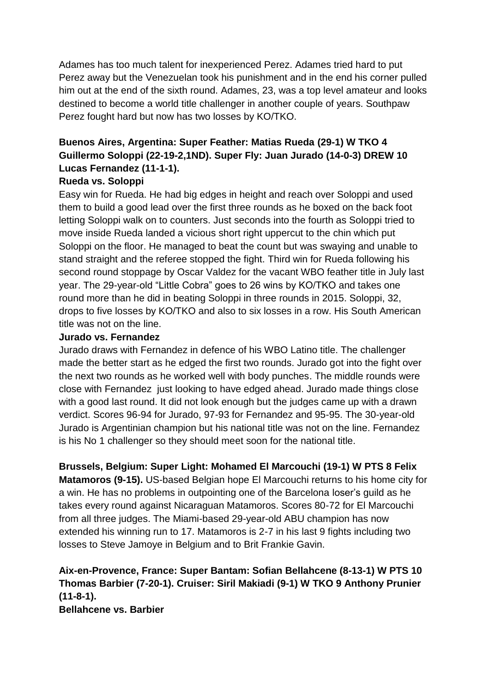Adames has too much talent for inexperienced Perez. Adames tried hard to put Perez away but the Venezuelan took his punishment and in the end his corner pulled him out at the end of the sixth round. Adames, 23, was a top level amateur and looks destined to become a world title challenger in another couple of years. Southpaw Perez fought hard but now has two losses by KO/TKO.

# **Buenos Aires, Argentina: Super Feather: Matias Rueda (29-1) W TKO 4 Guillermo Soloppi (22-19-2,1ND). Super Fly: Juan Jurado (14-0-3) DREW 10 Lucas Fernandez (11-1-1).**

# **Rueda vs. Soloppi**

Easy win for Rueda. He had big edges in height and reach over Soloppi and used them to build a good lead over the first three rounds as he boxed on the back foot letting Soloppi walk on to counters. Just seconds into the fourth as Soloppi tried to move inside Rueda landed a vicious short right uppercut to the chin which put Soloppi on the floor. He managed to beat the count but was swaying and unable to stand straight and the referee stopped the fight. Third win for Rueda following his second round stoppage by Oscar Valdez for the vacant WBO feather title in July last year. The 29-year-old "Little Cobra" goes to 26 wins by KO/TKO and takes one round more than he did in beating Soloppi in three rounds in 2015. Soloppi, 32, drops to five losses by KO/TKO and also to six losses in a row. His South American title was not on the line.

# **Jurado vs. Fernandez**

Jurado draws with Fernandez in defence of his WBO Latino title. The challenger made the better start as he edged the first two rounds. Jurado got into the fight over the next two rounds as he worked well with body punches. The middle rounds were close with Fernandez just looking to have edged ahead. Jurado made things close with a good last round. It did not look enough but the judges came up with a drawn verdict. Scores 96-94 for Jurado, 97-93 for Fernandez and 95-95. The 30-year-old Jurado is Argentinian champion but his national title was not on the line. Fernandez is his No 1 challenger so they should meet soon for the national title.

**Brussels, Belgium: Super Light: Mohamed El Marcouchi (19-1) W PTS 8 Felix Matamoros (9-15).** US-based Belgian hope El Marcouchi returns to his home city for a win. He has no problems in outpointing one of the Barcelona loser's guild as he takes every round against Nicaraguan Matamoros. Scores 80-72 for El Marcouchi from all three judges. The Miami-based 29-year-old ABU champion has now extended his winning run to 17. Matamoros is 2-7 in his last 9 fights including two losses to Steve Jamoye in Belgium and to Brit Frankie Gavin.

# **Aix-en-Provence, France: Super Bantam: Sofian Bellahcene (8-13-1) W PTS 10 Thomas Barbier (7-20-1). Cruiser: Siril Makiadi (9-1) W TKO 9 Anthony Prunier (11-8-1). Bellahcene vs. Barbier**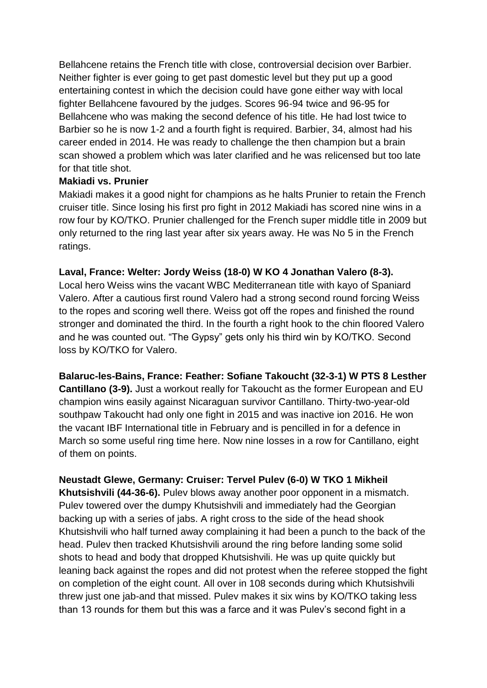Bellahcene retains the French title with close, controversial decision over Barbier. Neither fighter is ever going to get past domestic level but they put up a good entertaining contest in which the decision could have gone either way with local fighter Bellahcene favoured by the judges. Scores 96-94 twice and 96-95 for Bellahcene who was making the second defence of his title. He had lost twice to Barbier so he is now 1-2 and a fourth fight is required. Barbier, 34, almost had his career ended in 2014. He was ready to challenge the then champion but a brain scan showed a problem which was later clarified and he was relicensed but too late for that title shot.

### **Makiadi vs. Prunier**

Makiadi makes it a good night for champions as he halts Prunier to retain the French cruiser title. Since losing his first pro fight in 2012 Makiadi has scored nine wins in a row four by KO/TKO. Prunier challenged for the French super middle title in 2009 but only returned to the ring last year after six years away. He was No 5 in the French ratings.

# **Laval, France: Welter: Jordy Weiss (18-0) W KO 4 Jonathan Valero (8-3).**

Local hero Weiss wins the vacant WBC Mediterranean title with kayo of Spaniard Valero. After a cautious first round Valero had a strong second round forcing Weiss to the ropes and scoring well there. Weiss got off the ropes and finished the round stronger and dominated the third. In the fourth a right hook to the chin floored Valero and he was counted out. "The Gypsy" gets only his third win by KO/TKO. Second loss by KO/TKO for Valero.

**Balaruc-les-Bains, France: Feather: Sofiane Takoucht (32-3-1) W PTS 8 Lesther Cantillano (3-9).** Just a workout really for Takoucht as the former European and EU champion wins easily against Nicaraguan survivor Cantillano. Thirty-two-year-old southpaw Takoucht had only one fight in 2015 and was inactive ion 2016. He won the vacant IBF International title in February and is pencilled in for a defence in March so some useful ring time here. Now nine losses in a row for Cantillano, eight of them on points.

# **Neustadt Glewe, Germany: Cruiser: Tervel Pulev (6-0) W TKO 1 Mikheil**

**Khutsishvili (44-36-6).** Pulev blows away another poor opponent in a mismatch. Pulev towered over the dumpy Khutsishvili and immediately had the Georgian backing up with a series of jabs. A right cross to the side of the head shook Khutsishvili who half turned away complaining it had been a punch to the back of the head. Pulev then tracked Khutsishvili around the ring before landing some solid shots to head and body that dropped Khutsishvili. He was up quite quickly but leaning back against the ropes and did not protest when the referee stopped the fight on completion of the eight count. All over in 108 seconds during which Khutsishvili threw just one jab-and that missed. Pulev makes it six wins by KO/TKO taking less than 13 rounds for them but this was a farce and it was Pulev's second fight in a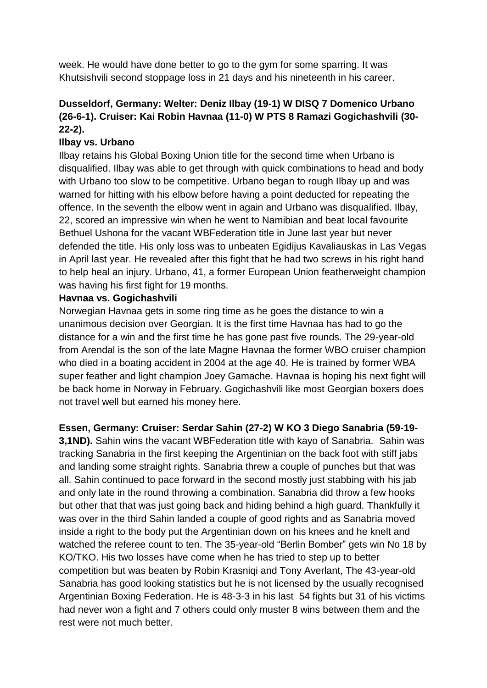week. He would have done better to go to the gym for some sparring. It was Khutsishvili second stoppage loss in 21 days and his nineteenth in his career.

# **Dusseldorf, Germany: Welter: Deniz Ilbay (19-1) W DISQ 7 Domenico Urbano (26-6-1). Cruiser: Kai Robin Havnaa (11-0) W PTS 8 Ramazi Gogichashvili (30- 22-2).**

# **Ilbay vs. Urbano**

Ilbay retains his Global Boxing Union title for the second time when Urbano is disqualified. Ilbay was able to get through with quick combinations to head and body with Urbano too slow to be competitive. Urbano began to rough Ilbay up and was warned for hitting with his elbow before having a point deducted for repeating the offence. In the seventh the elbow went in again and Urbano was disqualified. Ilbay, 22, scored an impressive win when he went to Namibian and beat local favourite Bethuel Ushona for the vacant WBFederation title in June last year but never defended the title. His only loss was to unbeaten Egidijus Kavaliauskas in Las Vegas in April last year. He revealed after this fight that he had two screws in his right hand to help heal an injury. Urbano, 41, a former European Union featherweight champion was having his first fight for 19 months.

### **Havnaa vs. Gogichashvili**

Norwegian Havnaa gets in some ring time as he goes the distance to win a unanimous decision over Georgian. It is the first time Havnaa has had to go the distance for a win and the first time he has gone past five rounds. The 29-year-old from Arendal is the son of the late Magne Havnaa the former WBO cruiser champion who died in a boating accident in 2004 at the age 40. He is trained by former WBA super feather and light champion Joey Gamache. Havnaa is hoping his next fight will be back home in Norway in February. Gogichashvili like most Georgian boxers does not travel well but earned his money here.

# **Essen, Germany: Cruiser: Serdar Sahin (27-2) W KO 3 Diego Sanabria (59-19-**

**3,1ND).** Sahin wins the vacant WBFederation title with kayo of Sanabria. Sahin was tracking Sanabria in the first keeping the Argentinian on the back foot with stiff jabs and landing some straight rights. Sanabria threw a couple of punches but that was all. Sahin continued to pace forward in the second mostly just stabbing with his jab and only late in the round throwing a combination. Sanabria did throw a few hooks but other that that was just going back and hiding behind a high guard. Thankfully it was over in the third Sahin landed a couple of good rights and as Sanabria moved inside a right to the body put the Argentinian down on his knees and he knelt and watched the referee count to ten. The 35-year-old "Berlin Bomber" gets win No 18 by KO/TKO. His two losses have come when he has tried to step up to better competition but was beaten by Robin Krasniqi and Tony Averlant, The 43-year-old Sanabria has good looking statistics but he is not licensed by the usually recognised Argentinian Boxing Federation. He is 48-3-3 in his last 54 fights but 31 of his victims had never won a fight and 7 others could only muster 8 wins between them and the rest were not much better.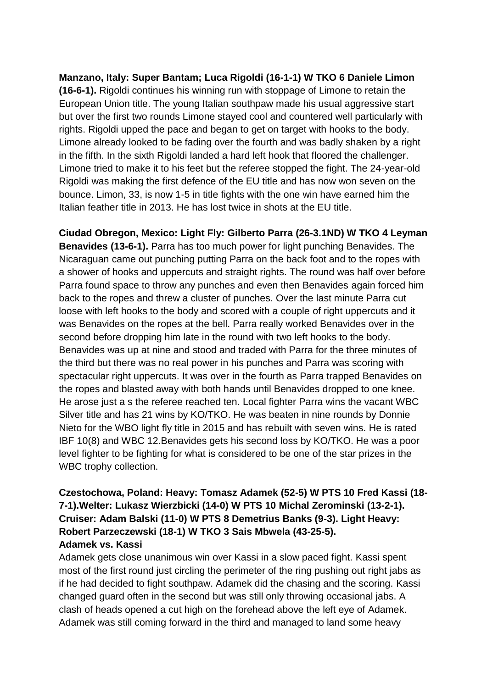**Manzano, Italy: Super Bantam; Luca Rigoldi (16-1-1) W TKO 6 Daniele Limon (16-6-1).** Rigoldi continues his winning run with stoppage of Limone to retain the European Union title. The young Italian southpaw made his usual aggressive start but over the first two rounds Limone stayed cool and countered well particularly with rights. Rigoldi upped the pace and began to get on target with hooks to the body. Limone already looked to be fading over the fourth and was badly shaken by a right in the fifth. In the sixth Rigoldi landed a hard left hook that floored the challenger. Limone tried to make it to his feet but the referee stopped the fight. The 24-year-old Rigoldi was making the first defence of the EU title and has now won seven on the bounce. Limon, 33, is now 1-5 in title fights with the one win have earned him the Italian feather title in 2013. He has lost twice in shots at the EU title.

**Ciudad Obregon, Mexico: Light Fly: Gilberto Parra (26-3.1ND) W TKO 4 Leyman Benavides (13-6-1).** Parra has too much power for light punching Benavides. The Nicaraguan came out punching putting Parra on the back foot and to the ropes with a shower of hooks and uppercuts and straight rights. The round was half over before Parra found space to throw any punches and even then Benavides again forced him back to the ropes and threw a cluster of punches. Over the last minute Parra cut loose with left hooks to the body and scored with a couple of right uppercuts and it was Benavides on the ropes at the bell. Parra really worked Benavides over in the second before dropping him late in the round with two left hooks to the body. Benavides was up at nine and stood and traded with Parra for the three minutes of the third but there was no real power in his punches and Parra was scoring with spectacular right uppercuts. It was over in the fourth as Parra trapped Benavides on the ropes and blasted away with both hands until Benavides dropped to one knee. He arose just a s the referee reached ten. Local fighter Parra wins the vacant WBC Silver title and has 21 wins by KO/TKO. He was beaten in nine rounds by Donnie Nieto for the WBO light fly title in 2015 and has rebuilt with seven wins. He is rated IBF 10(8) and WBC 12.Benavides gets his second loss by KO/TKO. He was a poor level fighter to be fighting for what is considered to be one of the star prizes in the WBC trophy collection.

# **Czestochowa, Poland: Heavy: Tomasz Adamek (52-5) W PTS 10 Fred Kassi (18- 7-1).Welter: Lukasz Wierzbicki (14-0) W PTS 10 Michal Zerominski (13-2-1). Cruiser: Adam Balski (11-0) W PTS 8 Demetrius Banks (9-3). Light Heavy: Robert Parzeczewski (18-1) W TKO 3 Sais Mbwela (43-25-5). Adamek vs. Kassi**

Adamek gets close unanimous win over Kassi in a slow paced fight. Kassi spent most of the first round just circling the perimeter of the ring pushing out right jabs as if he had decided to fight southpaw. Adamek did the chasing and the scoring. Kassi changed guard often in the second but was still only throwing occasional jabs. A clash of heads opened a cut high on the forehead above the left eye of Adamek. Adamek was still coming forward in the third and managed to land some heavy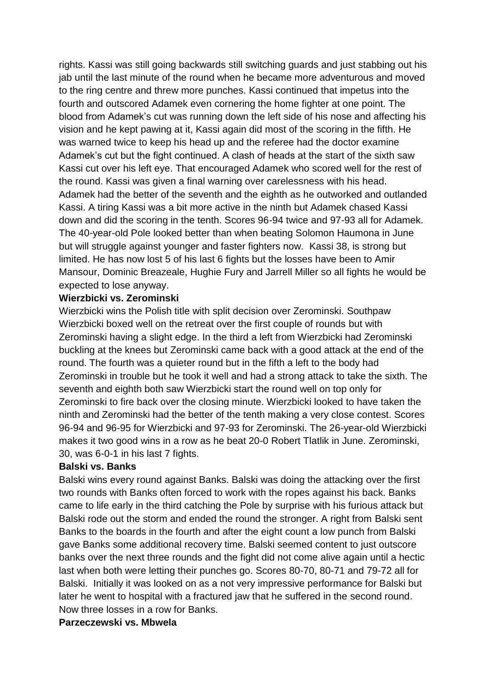rights. Kassi was still going backwards still switching guards and just stabbing out his jab until the last minute of the round when he became more adventurous and moved to the ring centre and threw more punches. Kassi continued that impetus into the fourth and outscored Adamek even cornering the home fighter at one point. The blood from Adamek's cut was running down the left side of his nose and affecting his vision and he kept pawing at it, Kassi again did most of the scoring in the fifth. He was warned twice to keep his head up and the referee had the doctor examine Adamek's cut but the fight continued. A clash of heads at the start of the sixth saw Kassi cut over his left eye. That encouraged Adamek who scored well for the rest of the round. Kassi was given a final warning over carelessness with his head. Adamek had the better of the seventh and the eighth as he outworked and outlanded Kassi. A tiring Kassi was a bit more active in the ninth but Adamek chased Kassi down and did the scoring in the tenth. Scores 96-94 twice and 97-93 all for Adamek. The 40-year-old Pole looked better than when beating Solomon Haumona in June but will struggle against younger and faster fighters now. Kassi 38, is strong but limited. He has now lost 5 of his last 6 fights but the losses have been to Amir Mansour, Dominic Breazeale, Hughie Fury and Jarrell Miller so all fights he would be expected to lose anyway.

#### **Wierzbicki vs. Zerominski**

Wierzbicki wins the Polish title with split decision over Zerominski. Southpaw Wierzbicki boxed well on the retreat over the first couple of rounds but with Zerominski having a slight edge. In the third a left from Wierzbicki had Zerominski buckling at the knees but Zerominski came back with a good attack at the end of the round. The fourth was a quieter round but in the fifth a left to the body had Zerominski in trouble but he took it well and had a strong attack to take the sixth. The seventh and eighth both saw Wierzbicki start the round well on top only for Zerominski to fire back over the closing minute. Wierzbicki looked to have taken the ninth and Zerominski had the better of the tenth making a very close contest. Scores 96-94 and 96-95 for Wierzbicki and 97-93 for Zerominski. The 26-year-old Wierzbicki makes it two good wins in a row as he beat 20-0 Robert Tlatlik in June. Zerominski, 30, was 6-0-1 in his last 7 fights.

#### **Balski vs. Banks**

Balski wins every round against Banks. Balski was doing the attacking over the first two rounds with Banks often forced to work with the ropes against his back. Banks came to life early in the third catching the Pole by surprise with his furious attack but Balski rode out the storm and ended the round the stronger. A right from Balski sent Banks to the boards in the fourth and after the eight count a low punch from Balski gave Banks some additional recovery time. Balski seemed content to just outscore banks over the next three rounds and the fight did not come alive again until a hectic last when both were letting their punches go. Scores 80-70, 80-71 and 79-72 all for Balski. Initially it was looked on as a not very impressive performance for Balski but later he went to hospital with a fractured jaw that he suffered in the second round. Now three losses in a row for Banks.

#### **Parzeczewski vs. Mbwela**